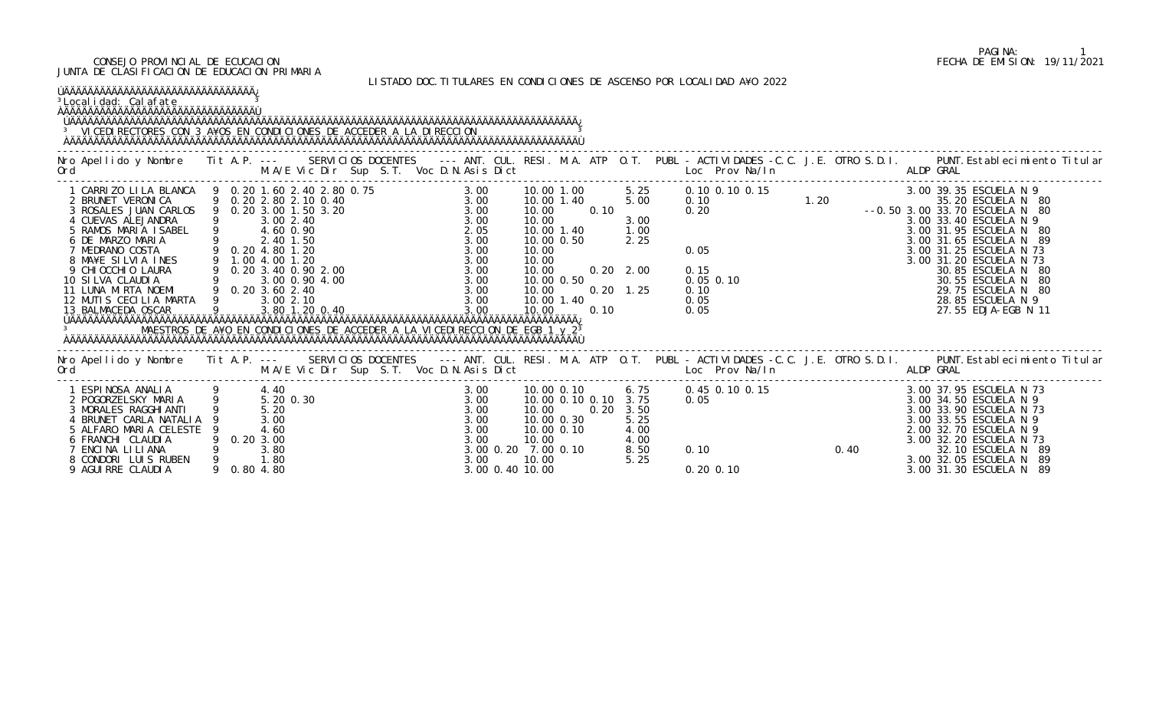#### CONSEJO PROVINCIAL DE ECUCACION FECHA DE EMISION: 19/11/2021 JUNTA DE CLASIFICACION DE EDUCACION PRIMARIA

LISTADO DOC.TITULARES EN CONDICIONES DE ASCENSO POR LOCALIDAD A¥O 2022

| ÚÄÄÄÄÄÄÄÄÄÄÄÄÄÄÄÄÄÄÄÄÄÄÄÄÄÄÄÄÄÄÄÄÄÄÄ<br><sup>3</sup> Local i dad: Cal afate<br><sup>3</sup> VICEDI RECTORES CON 3 A¥OS EN CONDICIONES DE ACCEDER A LA DI RECCION                                                                                                                                                                                                                                                                                                                                                                                                                                                                                |             |                                                                       |                |  |                                                                                                |                                                             |                                                                                  |              |                                                                      |                   |      |                                                                                                                                                                                                                                         |
|-------------------------------------------------------------------------------------------------------------------------------------------------------------------------------------------------------------------------------------------------------------------------------------------------------------------------------------------------------------------------------------------------------------------------------------------------------------------------------------------------------------------------------------------------------------------------------------------------------------------------------------------------|-------------|-----------------------------------------------------------------------|----------------|--|------------------------------------------------------------------------------------------------|-------------------------------------------------------------|----------------------------------------------------------------------------------|--------------|----------------------------------------------------------------------|-------------------|------|-----------------------------------------------------------------------------------------------------------------------------------------------------------------------------------------------------------------------------------------|
|                                                                                                                                                                                                                                                                                                                                                                                                                                                                                                                                                                                                                                                 |             |                                                                       |                |  |                                                                                                |                                                             |                                                                                  |              |                                                                      |                   |      | Nro Apellido y Nombre I Tit A.P. --- SERVICIOS DOCENTES --- ANT. CUL. RESI. M.A. ATP O.T. PUBL - ACTIVIDADES -C.C. J.E. OTRO S.D.I. PUNT.Establecimiento Titular M.A/E Vic Dir Sup S.T. Voc D.N.Asis Dict Loc. Prov Na/In ALDP          |
| 1 CARRIZO LILA BLANCA 9 0.20 1.60 2.10 0.20 1.50<br>2 BRUNET VERONICA 9 0.20 2.80 2.10 0.40<br>3 ROSALES JUAN CARLOS 9 0.20 3.00 1.50 3.20<br>3 ROSALES JUAN CARLOS 9 0.20 3.00 1.50 3.20<br>4 CUEVAS ALEJANDRA 9 3.00 2.40<br>5 RAMOS M<br>2 BRUNET VERONICA<br>3 ROSALES JUAN CARLOS 9 0.20 3.00 1.50 3.20<br>4 CUEVAS ALEJANDRA<br>5 RAMOS MARIA ISABEL 9 4.60 0.90<br>6 DE MARZO MARIA<br>7 MEDRANO COSTA 9 0.20 4.80 1.20<br>8 MA¥E SILVIA INES 9 1.00 4.00 1.20<br>9 CHIOCCHIO LAURA 9 0.20 3.40 0.90 2.00<br>10 SILVA CLAUDIA 9 3.00 0.90 4.00<br>11 LUNA MIRTA NOEMI 9 0.20 3.60 2.40<br>12 MUTIS CECILIA MARTA 9<br>13 BALMACEDA OSCAR |             | 3.002.10                                                              | 3.80 1.20 0.40 |  | 3.00<br>3.00                                                                                   | 10.00<br>10.00<br>10.00<br>10.00<br>10.00<br>10.00<br>10.00 | 10.00 1.00<br>10.00 1.40<br>10.00 1.40<br>10.00 0.50<br>10.00 0.50<br>10.00 1.40 | 0.10<br>0.10 | 5.25<br>5.00<br>3.00<br>1.00<br>2.25<br>$0.20$ $2.00$<br>$0.20$ 1.25 |                   |      | 0. 10 0. 15 0. 05 0. 10 0. 10 0. 10 0. 10 0. 10 0. 10 0. 10 0. 10 0. 10 0. 10 0. 20 0. 20 0. 20 0. 20 0. 20 0. 20 0. 20 0. 20 0. 20 0. 20 0. 20 0. 20 0. 20 0. 20 0. 20 0. 20 0. 20 0. 20 0. 20 0. 20 0. 20 0. 20 0. 20 0. 20           |
| Ord                                                                                                                                                                                                                                                                                                                                                                                                                                                                                                                                                                                                                                             |             |                                                                       |                |  |                                                                                                |                                                             |                                                                                  |              |                                                                      |                   |      | Nro Apellido y Nombre Tit A.P. --- SERVICIOS DOCENTES --- ANT. CUL. RESI. M.A. ATP O.T. PUBL - ACTIVIDADES -C.C. J.E. OTRO S.D.I. PUNT. Establecimiento Titular<br>ALDP GRAL                                                            |
| 2 POGORZELSKY MARIA<br>3 MORALES RAGGHI ANTI<br>4 BRUNET CARLA NATALIA<br>5 ALFARO MARIA CELESTE<br>6 FRANCHI CLAUDIA<br>7 ENCINA LILIANA<br>8 CONDORI LUIS RUBEN<br>9 AGUI RRE CLAUDI A                                                                                                                                                                                                                                                                                                                                                                                                                                                        | 9 0.80 4.80 | 4.40<br>5.20 0.30<br>5.20<br>3.00<br>4.60<br>0.203.00<br>3.80<br>1.80 |                |  | 3.00<br>3.00<br>3.00<br>3.00<br>3.00<br>3.00<br>3.00 0.20 7.00 0.10<br>3.00<br>3.00 0.40 10.00 | 10.00<br>10.00<br>10.00                                     | 10.00 0.30<br>10.00 0.10                                                         | 0.20         | 3.50<br>5.25<br>4.00<br>4.00<br>8.50<br>5.25                         | 0.10<br>0.20 0.10 | 0.40 | 3.00 37.95 ESCUELA N 73<br>3.00 34.50 ESCUELA N 9<br>3.00 33.90 ESCUELA N 73<br>3.00 33.55 ESCUELA N 9<br>2.00 32.70 ESCUELA N 9<br>3.00 32.20 ESCUELA N 73<br>32.10 ESCUELA N 89<br>3.00 32.05 ESCUELA N 89<br>3.00 31.30 ESCUELA N 89 |

# PAGINA: 1<br>FECHA DE EMISION: 19/11/2021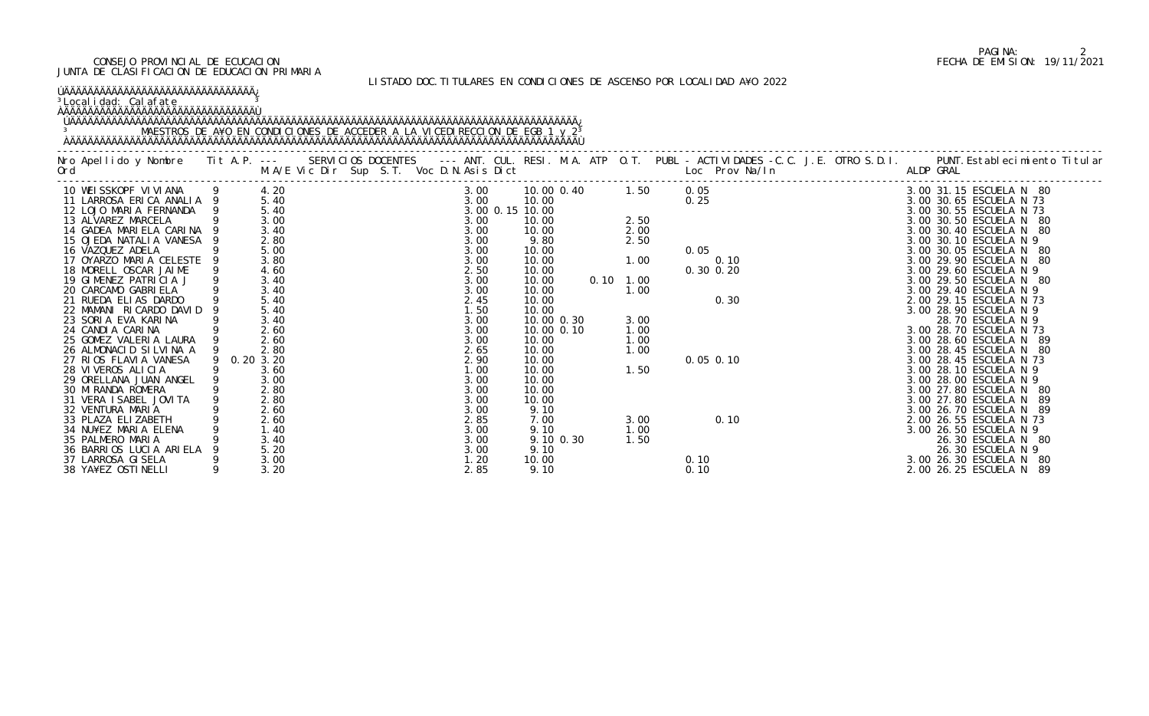#### CONSEJO PROVINCIAL DE ECUCACION FECHA DE EMISION: 19/11/2021 JUNTA DE CLASIFICACION DE EDUCACION PRIMARIA

#### LISTADO DOC.TITULARES EN CONDICIONES DE ASCENSO POR LOCALIDAD A¥O 2022

### ÚÄÄÄÄÄÄÄÄÄÄÄÄÄÄÄÄÄÄÄÄÄÄÄÄÄÄÄÄÄÄÄÄ¿

<sup>3</sup>Localidad: Calafate and <sup>3</sup>

### ÀÄÄÄÄÄÄÄÄÄÄÄÄÄÄÄÄÄÄÄÄÄÄÄÄÄÄÄÄÄÄÄÄÙ

#### ÚÄÄÄÄÄÄÄÄÄÄÄÄÄÄÄÄÄÄÄÄÄÄÄÄÄÄÄÄÄÄÄÄÄÄÄÄÄÄÄÄÄÄÄÄÄÄÄÄÄÄÄÄÄÄÄÄÄÄÄÄÄÄÄÄÄÄÄÄÄÄÄÄÄÄÄÄÄÄÄÄÄÄÄÄÄ¿ 3 MAESTROS DE A¥O EN CONDICIONES DE ACCEDER A LA VICEDIRECCION DE EGB 1 y 2<sup>3</sup> ÀÄÄÄÄÄÄÄÄÄÄÄÄÄÄÄÄÄÄÄÄÄÄÄÄÄÄÄÄÄÄÄÄÄÄÄÄÄÄÄÄÄÄÄÄÄÄÄÄÄÄÄÄÄÄÄÄÄÄÄÄÄÄÄÄÄÄÄÄÄÄÄÄÄÄÄÄÄÄÄÄÄÄÄÄÄÙ

|                           |              |                 |            |                   |                                                                                                                                                                                                                                                                          | Nro Apellido y Nombre Iit A.P. --- SERVICIOS DOCENTES --- ANT. CUL. RESI. M.A. ATP O.T. PUBL -ACTIVIDADES -C.C. J.E. OTRO S.D.I. PUNT.Establecimiento Titular M.A/E Vic Dir Sup S.T. Voc D.N.Asis Dict Letter O.T. PUBL -ACTIV |
|---------------------------|--------------|-----------------|------------|-------------------|--------------------------------------------------------------------------------------------------------------------------------------------------------------------------------------------------------------------------------------------------------------------------|--------------------------------------------------------------------------------------------------------------------------------------------------------------------------------------------------------------------------------|
| 10 WEISSKOPF VIVIANA 9    | 4.20         | 3.00            | 10.00 0.40 | 1.50              | 0.05                                                                                                                                                                                                                                                                     | 3.00 31.15 ESCUELA N 80                                                                                                                                                                                                        |
| 11 LARROSA ERICA ANALIA 9 | 5.40         | 3.00            | 10.00      |                   | 0.25                                                                                                                                                                                                                                                                     | 3.00 30.65 ESCUELA N 73                                                                                                                                                                                                        |
| 12 LOJO MARIA FERNANDA    | 5.40         | 3.00 0.15 10.00 |            |                   |                                                                                                                                                                                                                                                                          | 3.00 30.55 ESCUELA N 73                                                                                                                                                                                                        |
| 13 ALVAREZ MARCELA        | 3.00         | 3.00            | 10.00      | 2.50              |                                                                                                                                                                                                                                                                          | 3.00 30.50 ESCUELA N 80                                                                                                                                                                                                        |
| 14 GADEA MARIELA CARINA 9 | 3.40         | 3.00            | 10.00      | 2.00              |                                                                                                                                                                                                                                                                          | 3.00 30.40 ESCUELA N 80                                                                                                                                                                                                        |
| 15 OJEDA NATALIA VANESA 9 | 2.80         | 3.00            | 9.80       | 2.50              |                                                                                                                                                                                                                                                                          | 3.00 30.10 ESCUELA N 9                                                                                                                                                                                                         |
| 16 VAZQUEZ ADELA          | 5.00<br>3.80 | 3.00            | 10.00      | $1.00$            | 0.05                                                                                                                                                                                                                                                                     | 3.00 30.05 ESCUELA N 80                                                                                                                                                                                                        |
| 17 OYARZO MARIA CELESTE 9 |              | 3.00            | 10.00      |                   | 0.10                                                                                                                                                                                                                                                                     | 3.00 29.90 ESCUELA N 80                                                                                                                                                                                                        |
| 18 MORELL OSCAR JAIME     | 4.60         | 2.50            | 10.00      |                   | 0.30 0.20                                                                                                                                                                                                                                                                | 3.00 29.60 ESCUELA N 9                                                                                                                                                                                                         |
| 19 GIMENEZ PATRICIA J     | 3.40         | 3.00            | 10.00      | $0.10 \quad 1.00$ |                                                                                                                                                                                                                                                                          | 3.00 29.50 ESCUELA N 80                                                                                                                                                                                                        |
| 20 CARCAMO GABRIELA       | 3.40         | 3.00            | 10.00      | 1.00              |                                                                                                                                                                                                                                                                          | 3.00 29.40 ESCUELA N 9                                                                                                                                                                                                         |
| 21 RUEDA ELIAS DARDO      | 5.40         | 2.45            | 10.00      |                   | 0.30                                                                                                                                                                                                                                                                     | 2.00 29.15 ESCUELA N 73                                                                                                                                                                                                        |
| 22 MAMANI RICARDO DAVID   | 5.40         | 1.50            | 10.00      |                   |                                                                                                                                                                                                                                                                          | 3.00 28.90 ESCUELA N 9                                                                                                                                                                                                         |
| 23 SORIA EVA KARINA       | 3.40         | 3.00            | 10.00 0.30 | 3.00              |                                                                                                                                                                                                                                                                          | 28.70 ESCUELA N 9                                                                                                                                                                                                              |
| 24 CANDIA CARINA          | 2.60         | 3.00            | 10.00 0.10 | 1.00              |                                                                                                                                                                                                                                                                          | 3.00 28.70 ESCUELA N 73                                                                                                                                                                                                        |
| 25 GOMEZ VALERIA LAURA    | 2.60         | 3.00            | 10.00      | 1.00              |                                                                                                                                                                                                                                                                          | 3.00 28.60 ESCUELA N 89                                                                                                                                                                                                        |
| 26 ALMONACID SILVINA A    | 2.80         | 2.65            | 10.00      | 1.00              |                                                                                                                                                                                                                                                                          | 3.00 28.45 ESCUELA N 80                                                                                                                                                                                                        |
| 27 RIOS FLAVIA VANESA     | 0.20 3.20    | 2.90            | 10.00      |                   | $0.05$ 0.10                                                                                                                                                                                                                                                              | 3.00 28.45 ESCUELA N 73                                                                                                                                                                                                        |
| 28 VIVEROS ALICIA         | 3.60         | 1.00            | 10.00      | 1.50              |                                                                                                                                                                                                                                                                          | 3.00 28.10 ESCUELA N 9                                                                                                                                                                                                         |
| 29 ORELLANA JUAN ANGEL    | 3.00         | 3.00            | 10.00      |                   |                                                                                                                                                                                                                                                                          | 3.00 28.00 ESCUELA N 9                                                                                                                                                                                                         |
| 30 MI RANDA ROMERA        | 2.80         | 3.00            | 10.00      |                   |                                                                                                                                                                                                                                                                          | 3.00 27.80 ESCUELA N<br>- 80                                                                                                                                                                                                   |
| 31 VERA I SABEL JOVI TA   | 2.80         | 3.00            | 10.00      |                   |                                                                                                                                                                                                                                                                          | 3.00 27.80 ESCUELA N                                                                                                                                                                                                           |
| 32 VENTURA MARIA          | 2.60         | 3.00            | 9.10       |                   |                                                                                                                                                                                                                                                                          |                                                                                                                                                                                                                                |
| 33 PLAZA ELIZABETH        | 2.60         | 2.85            | 7.00       | 3.00              |                                                                                                                                                                                                                                                                          |                                                                                                                                                                                                                                |
| 34 NU¥EZ MARIA ELENA      | 1.40         | 3.00            | 9.10       | 1.00              |                                                                                                                                                                                                                                                                          |                                                                                                                                                                                                                                |
| 35 PALMERO MARIA          | 3.40         | 3.00            | 9.10 0.30  | 1.50              |                                                                                                                                                                                                                                                                          |                                                                                                                                                                                                                                |
| 36 BARRIOS LUCIA ARIELA   | 5.20         | 3.00            | 9.10       |                   |                                                                                                                                                                                                                                                                          |                                                                                                                                                                                                                                |
| 37 LARROSA GI SELA        | 3.00         | 1.20            | 10.00      |                   | 0.10<br>0.10<br>0.10<br>0.10<br>0.10<br>0.10<br>0.10<br>0.10<br>0.10<br>0.10<br>0.50<br>0.55 ESCUELA N<br>0.55 ESCUELA N<br>0.55 ESCUELA N<br>0.55 ESCUELA N<br>26.30 ESCUELA N<br>26.30 ESCUELA N<br>26.30 ESCUELA N<br>3.00<br>26.30 ESCUELA N<br>3.00<br>26.30 ESCUEL |                                                                                                                                                                                                                                |
| 38 YA¥EZ OSTINELLI        | 3.20         | 2.85            | 9.10       |                   |                                                                                                                                                                                                                                                                          |                                                                                                                                                                                                                                |

# PAGINA: 2<br>FECHA DE EMISION: 19/11/2021